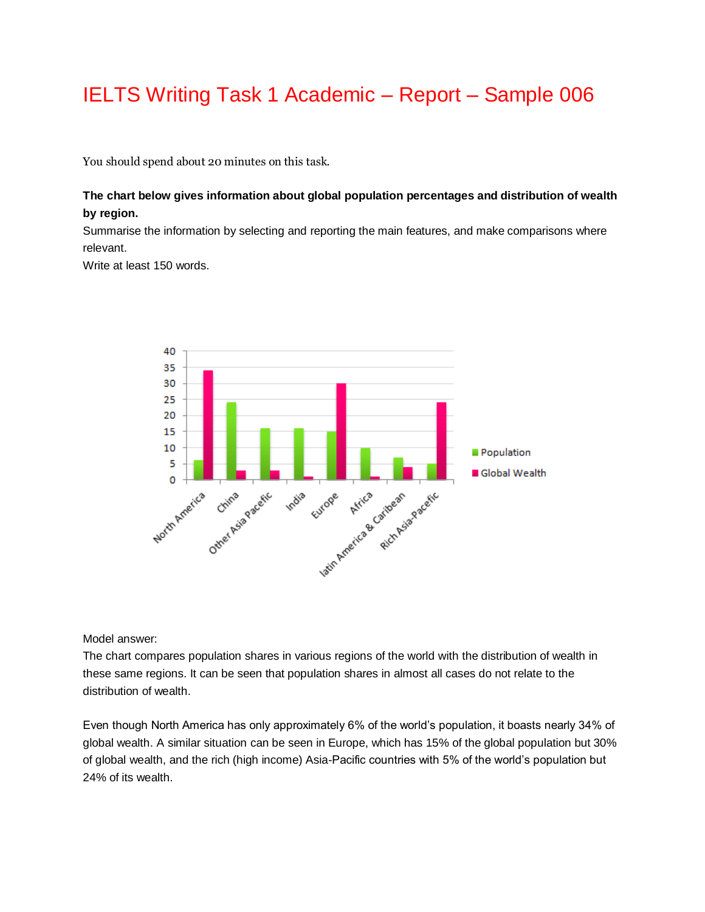## IELTS Writing Task 1 Academic – Report – Sample 006

You should spend about 20 minutes on this task.

## **The chart below gives information about global population percentages and distribution of wealth by region.**

Summarise the information by selecting and reporting the main features, and make comparisons where relevant.

Write at least 150 words.



Model answer:

The chart compares population shares in various regions of the world with the distribution of wealth in these same regions. It can be seen that population shares in almost all cases do not relate to the distribution of wealth.

Even though North America has only approximately 6% of the world's population, it boasts nearly 34% of global wealth. A similar situation can be seen in Europe, which has 15% of the global population but 30% of global wealth, and the rich (high income) Asia-Pacific countries with 5% of the world's population but 24% of its wealth.